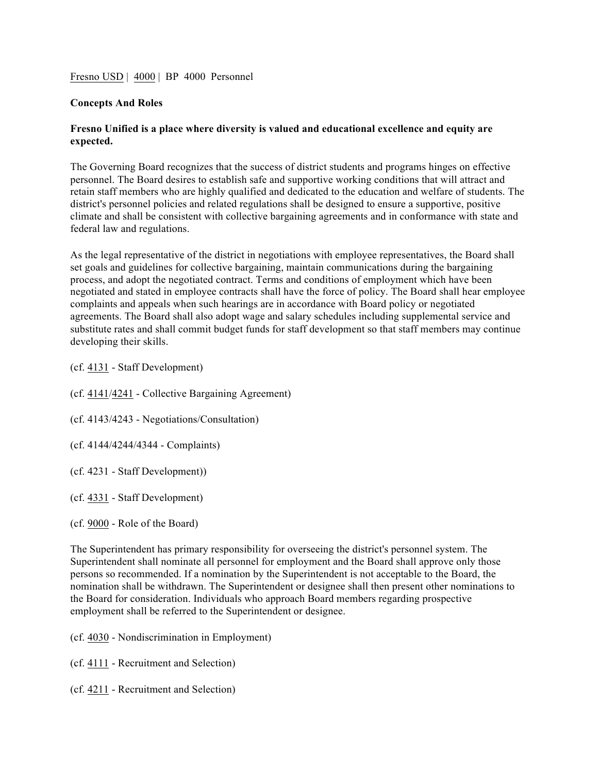Fresno USD | 4000 | BP 4000 Personnel

## **Concepts And Roles**

## **Fresno Unified is a place where diversity is valued and educational excellence and equity are expected.**

The Governing Board recognizes that the success of district students and programs hinges on effective personnel. The Board desires to establish safe and supportive working conditions that will attract and retain staff members who are highly qualified and dedicated to the education and welfare of students. The district's personnel policies and related regulations shall be designed to ensure a supportive, positive climate and shall be consistent with collective bargaining agreements and in conformance with state and federal law and regulations.

As the legal representative of the district in negotiations with employee representatives, the Board shall set goals and guidelines for collective bargaining, maintain communications during the bargaining process, and adopt the negotiated contract. Terms and conditions of employment which have been negotiated and stated in employee contracts shall have the force of policy. The Board shall hear employee complaints and appeals when such hearings are in accordance with Board policy or negotiated agreements. The Board shall also adopt wage and salary schedules including supplemental service and substitute rates and shall commit budget funds for staff development so that staff members may continue developing their skills.

(cf. 4131 - Staff Development)

(cf. 4141/4241 - Collective Bargaining Agreement)

(cf. 4143/4243 - Negotiations/Consultation)

(cf. 4144/4244/4344 - Complaints)

(cf. 4231 - Staff Development))

(cf. 4331 - Staff Development)

(cf. 9000 - Role of the Board)

The Superintendent has primary responsibility for overseeing the district's personnel system. The Superintendent shall nominate all personnel for employment and the Board shall approve only those persons so recommended. If a nomination by the Superintendent is not acceptable to the Board, the nomination shall be withdrawn. The Superintendent or designee shall then present other nominations to the Board for consideration. Individuals who approach Board members regarding prospective employment shall be referred to the Superintendent or designee.

(cf. 4030 - Nondiscrimination in Employment)

(cf. 4111 - Recruitment and Selection)

(cf. 4211 - Recruitment and Selection)